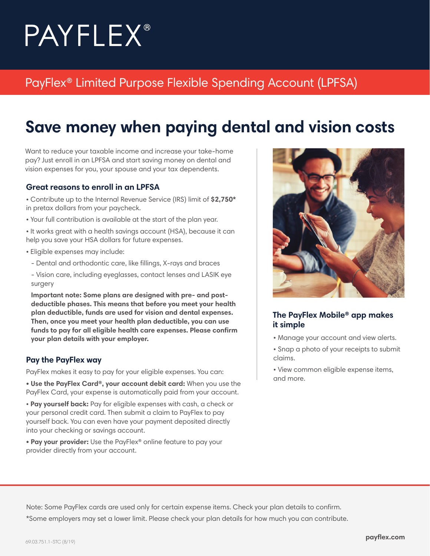# **PAYFLEX®**

### PayFlex® Limited Purpose Flexible Spending Account (LPFSA)

# **Save money when paying dental and vision costs**

Want to reduce your taxable income and increase your take-home pay? Just enroll in an LPFSA and start saving money on dental and vision expenses for you, your spouse and your tax dependents.

#### **Great reasons to enroll in an LPFSA**

• Contribute up to the Internal Revenue Service (IRS) limit of **\$2,750\*** in pretax dollars from your paycheck.

• Your full contribution is available at the start of the plan year.

• It works great with a health savings account (HSA), because it can help you save your HSA dollars for future expenses.

- Eligible expenses may include:
	- Dental and orthodontic care, like fillings, X-rays and braces
	- Vision care, including eyeglasses, contact lenses and LASIK eye surgery

**Important note: Some plans are designed with pre- and postdeductible phases. This means that before you meet your health plan deductible, funds are used for vision and dental expenses. Then, once you meet your health plan deductible, you can use funds to pay for all eligible health care expenses. Please confirm your plan details with your employer.**

#### **Pay the PayFlex way**

PayFlex makes it easy to pay for your eligible expenses. You can:

**• Use the PayFlex Card®, your account debit card:** When you use the PayFlex Card, your expense is automatically paid from your account.

• **Pay yourself back:** Pay for eligible expenses with cash, a check or your personal credit card. Then submit a claim to PayFlex to pay yourself back. You can even have your payment deposited directly into your checking or savings account.

**• Pay your provider:** Use the PayFlex® online feature to pay your provider directly from your account.



#### **The PayFlex Mobile® app makes it simple**

- Manage your account and view alerts.
- Snap a photo of your receipts to submit claims.
- View common eligible expense items, and more.

Note: Some PayFlex cards are used only for certain expense items. Check your plan details to confirm. \*Some employers may set a lower limit. Please check your plan details for how much you can contribute.